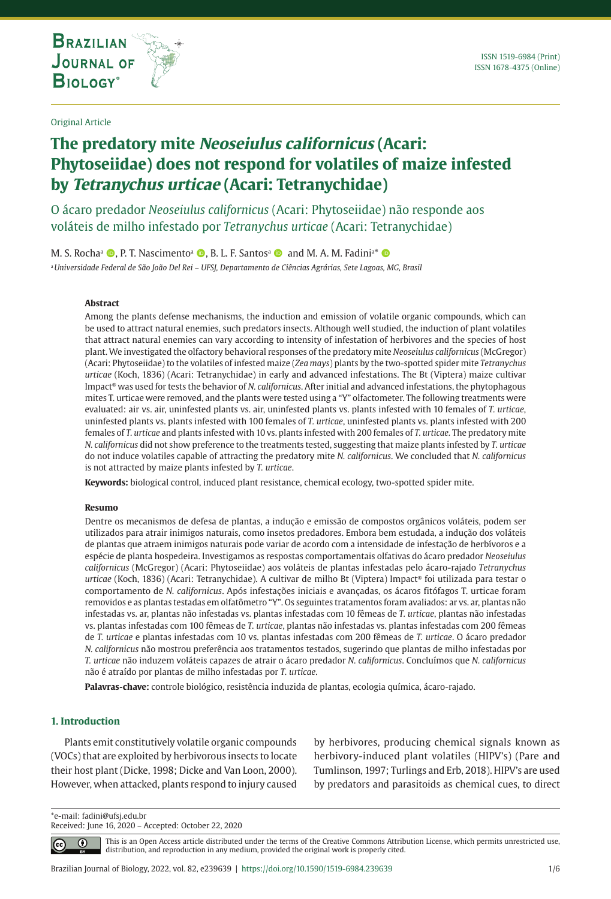**THE INTERNATIONAL JOURNAL ON GLOBAL BIODIVERSITY AND ENVIRONMENT**

# **The predatory mite Neoseiulus californicus (Acari: Phytoseiidae) does not respond for volatiles of maize infested by Tetranychus urticae (Acari: Tetranychidae)**

O ácaro predador *Neoseiulus californicus* (Acari: Phytoseiidae) não responde aos voláteis de milho infestado por *Tetranychus urticae* (Acari: Tetranychidae)

M. S. Rocha<sup>a</sup> (D, P. T. Nascimento<sup>a</sup> (D, B. L. F. Santos<sup>a</sup> (D) and M. A. M. Fadini<sup>a\*</sup> (D)

<sup>a</sup>*Universidade Federal de São João Del Rei – UFSJ, Departamento de Ciências Agrárias, Sete Lagoas, MG, Brasil*

## **Abstract**

Among the plants defense mechanisms, the induction and emission of volatile organic compounds, which can be used to attract natural enemies, such predators insects. Although well studied, the induction of plant volatiles that attract natural enemies can vary according to intensity of infestation of herbivores and the species of host plant. We investigated the olfactory behavioral responses of the predatory mite *Neoseiulus californicus* (McGregor) (Acari: Phytoseiidae) to the volatiles of infested maize (*Zea mays*) plants by the two-spotted spider mite *Tetranychus urticae* (Koch, 1836) (Acari: Tetranychidae) in early and advanced infestations. The Bt (Viptera) maize cultivar Impact® was used for tests the behavior of *N. californicus*. After initial and advanced infestations, the phytophagous mites T. urticae were removed, and the plants were tested using a "Y" olfactometer. The following treatments were evaluated: air vs. air, uninfested plants vs. air, uninfested plants vs. plants infested with 10 females of *T. urticae*, uninfested plants vs. plants infested with 100 females of *T. urticae*, uninfested plants vs. plants infested with 200 females of *T. urticae* and plants infested with 10 vs. plants infested with 200 females of *T. urticae.* The predatory mite *N. californicus* did not show preference to the treatments tested, suggesting that maize plants infested by *T. urticae* do not induce volatiles capable of attracting the predatory mite *N. californicus*. We concluded that *N. californicus* is not attracted by maize plants infested by *T. urticae*.

**Keywords:** biological control, induced plant resistance, chemical ecology, two-spotted spider mite.

#### **Resumo**

Dentre os mecanismos de defesa de plantas, a indução e emissão de compostos orgânicos voláteis, podem ser utilizados para atrair inimigos naturais, como insetos predadores. Embora bem estudada, a indução dos voláteis de plantas que atraem inimigos naturais pode variar de acordo com a intensidade de infestação de herbívoros e a espécie de planta hospedeira. Investigamos as respostas comportamentais olfativas do ácaro predador *Neoseiulus californicus* (McGregor) (Acari: Phytoseiidae) aos voláteis de plantas infestadas pelo ácaro-rajado *Tetranychus urticae* (Koch, 1836) (Acari: Tetranychidae). A cultivar de milho Bt (Viptera) Impact® foi utilizada para testar o comportamento de *N. californicus*. Após infestações iniciais e avançadas, os ácaros fitófagos T. urticae foram removidos e as plantas testadas em olfatômetro "Y". Os seguintes tratamentos foram avaliados: ar vs. ar, plantas não infestadas vs. ar, plantas não infestadas vs. plantas infestadas com 10 fêmeas de *T. urticae*, plantas não infestadas vs. plantas infestadas com 100 fêmeas de *T. urticae*, plantas não infestadas vs. plantas infestadas com 200 fêmeas de *T. urticae* e plantas infestadas com 10 vs. plantas infestadas com 200 fêmeas de *T. urticae*. O ácaro predador *N. californicus* não mostrou preferência aos tratamentos testados, sugerindo que plantas de milho infestadas por *T. urticae* não induzem voláteis capazes de atrair o ácaro predador *N. californicus*. Concluímos que *N. californicus* não é atraído por plantas de milho infestadas por *T. urticae*.

**Palavras-chave:** controle biológico, resistência induzida de plantas, ecologia química, ácaro-rajado.

## **1. Introduction**

Plants emit constitutively volatile organic compounds (VOCs) that are exploited by herbivorous insects to locate their host plant (Dicke, 1998; Dicke and Van Loon, 2000). However, when attacked, plants respond to injury caused

by herbivores, producing chemical signals known as herbivory-induced plant volatiles (HIPV's) (Pare and Tumlinson, 1997; Turlings and Erb, 2018). HIPV's are used by predators and parasitoids as chemical cues, to direct

\*e-mail: fadini@ufsj.edu.br

Received: June 16, 2020 – Accepted: October 22, 2020

 $\bigcirc$ 

This is an Open Access article distributed under the terms of the Creative Commons Attribution License, which permits unrestricted use, distribution, and reproduction in any medium, provided the original work is properly cited.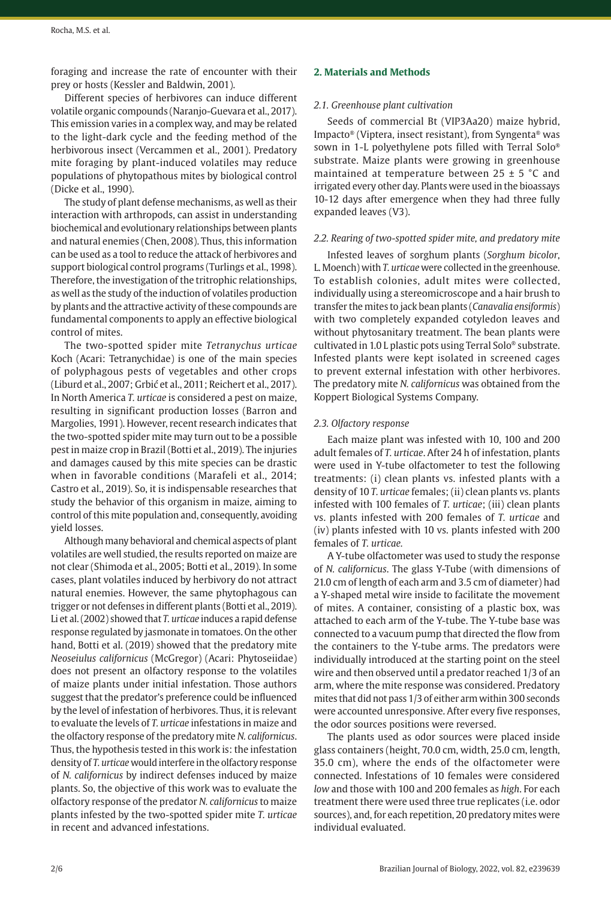foraging and increase the rate of encounter with their prey or hosts (Kessler and Baldwin, 2001).

Different species of herbivores can induce different volatile organic compounds (Naranjo-Guevara et al., 2017). This emission varies in a complex way, and may be related to the light-dark cycle and the feeding method of the herbivorous insect (Vercammen et al., 2001). Predatory mite foraging by plant-induced volatiles may reduce populations of phytopathous mites by biological control (Dicke et al., 1990).

The study of plant defense mechanisms, as well as their interaction with arthropods, can assist in understanding biochemical and evolutionary relationships between plants and natural enemies (Chen, 2008). Thus, this information can be used as a tool to reduce the attack of herbivores and support biological control programs (Turlings et al., 1998). Therefore, the investigation of the tritrophic relationships, as well as the study of the induction of volatiles production by plants and the attractive activity of these compounds are fundamental components to apply an effective biological control of mites.

The two-spotted spider mite *Tetranychus urticae* Koch (Acari: Tetranychidae) is one of the main species of polyphagous pests of vegetables and other crops (Liburd et al., 2007; Grbić et al., 2011; Reichert et al., 2017). In North America *T. urticae* is considered a pest on maize, resulting in significant production losses (Barron and Margolies, 1991). However, recent research indicates that the two-spotted spider mite may turn out to be a possible pest in maize crop in Brazil (Botti et al., 2019). The injuries and damages caused by this mite species can be drastic when in favorable conditions (Marafeli et al., 2014; Castro et al., 2019). So, it is indispensable researches that study the behavior of this organism in maize, aiming to control of this mite population and, consequently, avoiding yield losses.

Although many behavioral and chemical aspects of plant volatiles are well studied, the results reported on maize are not clear (Shimoda et al., 2005; Botti et al., 2019). In some cases, plant volatiles induced by herbivory do not attract natural enemies. However, the same phytophagous can trigger or not defenses in different plants (Botti et al., 2019). Li et al. (2002) showed that *T. urticae* induces a rapid defense response regulated by jasmonate in tomatoes. On the other hand, Botti et al. (2019) showed that the predatory mite *Neoseiulus californicus* (McGregor) (Acari: Phytoseiidae) does not present an olfactory response to the volatiles of maize plants under initial infestation. Those authors suggest that the predator's preference could be influenced by the level of infestation of herbivores. Thus, it is relevant to evaluate the levels of *T. urticae* infestations in maize and the olfactory response of the predatory mite *N. californicus*. Thus, the hypothesis tested in this work is: the infestation density of *T. urticae* would interfere in the olfactory response of *N. californicus* by indirect defenses induced by maize plants. So, the objective of this work was to evaluate the olfactory response of the predator *N. californicus* to maize plants infested by the two-spotted spider mite *T. urticae* in recent and advanced infestations.

## **2. Materials and Methods**

# *2.1. Greenhouse plant cultivation*

Seeds of commercial Bt (VIP3Aa20) maize hybrid, Impacto® (Viptera, insect resistant), from Syngenta® was sown in 1-L polyethylene pots filled with Terral Solo® substrate. Maize plants were growing in greenhouse maintained at temperature between  $25 \pm 5$  °C and irrigated every other day. Plants were used in the bioassays 10-12 days after emergence when they had three fully expanded leaves (V3).

## *2.2. Rearing of two-spotted spider mite, and predatory mite*

Infested leaves of sorghum plants (*Sorghum bicolor*, L. Moench) with *T. urticae* were collected in the greenhouse. To establish colonies, adult mites were collected, individually using a stereomicroscope and a hair brush to transfer the mites to jack bean plants (*Canavalia ensiformis*) with two completely expanded cotyledon leaves and without phytosanitary treatment. The bean plants were cultivated in 1.0 L plastic pots using Terral Solo® substrate. Infested plants were kept isolated in screened cages to prevent external infestation with other herbivores. The predatory mite *N. californicus* was obtained from the Koppert Biological Systems Company.

## *2.3. Olfactory response*

Each maize plant was infested with 10, 100 and 200 adult females of *T. urticae*. After 24 h of infestation, plants were used in Y-tube olfactometer to test the following treatments: (i) clean plants vs. infested plants with a density of 10 *T. urticae* females; (ii) clean plants vs. plants infested with 100 females of *T. urticae*; (iii) clean plants vs. plants infested with 200 females of *T. urticae* and (iv) plants infested with 10 vs. plants infested with 200 females of *T. urticae.*

A Y-tube olfactometer was used to study the response of *N. californicus*. The glass Y-Tube (with dimensions of 21.0 cm of length of each arm and 3.5 cm of diameter) had a Y-shaped metal wire inside to facilitate the movement of mites. A container, consisting of a plastic box, was attached to each arm of the Y-tube. The Y-tube base was connected to a vacuum pump that directed the flow from the containers to the Y-tube arms. The predators were individually introduced at the starting point on the steel wire and then observed until a predator reached 1/3 of an arm, where the mite response was considered. Predatory mites that did not pass 1/3 of either arm within 300 seconds were accounted unresponsive. After every five responses, the odor sources positions were reversed.

The plants used as odor sources were placed inside glass containers (height, 70.0 cm, width, 25.0 cm, length, 35.0 cm), where the ends of the olfactometer were connected. Infestations of 10 females were considered *low* and those with 100 and 200 females as *high*. For each treatment there were used three true replicates (i.e. odor sources), and, for each repetition, 20 predatory mites were individual evaluated.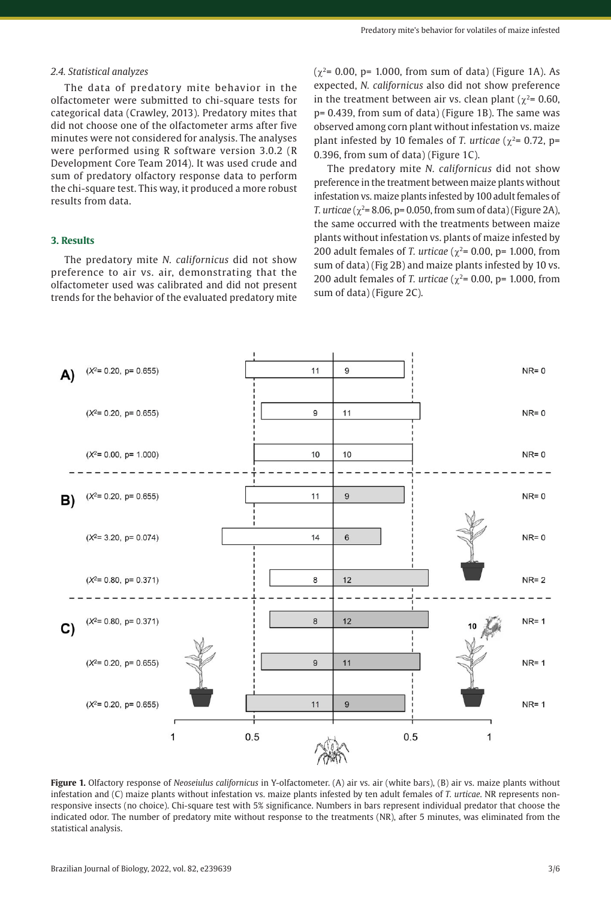#### *2.4. Statistical analyzes*

The data of predatory mite behavior in the olfactometer were submitted to chi-square tests for categorical data (Crawley, 2013). Predatory mites that did not choose one of the olfactometer arms after five minutes were not considered for analysis. The analyses were performed using R software version 3.0.2 (R Development Core Team 2014). It was used crude and sum of predatory olfactory response data to perform the chi-square test. This way, it produced a more robust results from data.

## **3. Results**

The predatory mite *N. californicus* did not show preference to air vs. air, demonstrating that the olfactometer used was calibrated and did not present trends for the behavior of the evaluated predatory mite  $(χ<sup>2</sup>= 0.00, p= 1.000, from sum of data)$  (Figure 1A). As expected, *N. californicus* also did not show preference in the treatment between air vs. clean plant ( $\gamma^2$ = 0.60, p= 0.439, from sum of data) (Figure 1B). The same was observed among corn plant without infestation vs. maize plant infested by 10 females of *T. urticae* ( $\chi^2$ = 0.72, p= 0.396, from sum of data) (Figure 1C).

The predatory mite *N. californicus* did not show preference in the treatment between maize plants without infestation vs. maize plants infested by 100 adult females of *T. urticae* ( $\chi^2$ = 8.06, p= 0.050, from sum of data) (Figure 2A), the same occurred with the treatments between maize plants without infestation vs. plants of maize infested by 200 adult females of *T. urticae* ( $\chi^2$ = 0.00, p= 1.000, from sum of data) (Fig 2B) and maize plants infested by 10 vs. 200 adult females of *T. urticae* ( $\chi^2$ = 0.00, p= 1.000, from sum of data) (Figure 2C).



**Figure 1.** Olfactory response of *Neoseiulus californicus* in Y-olfactometer. (A) air vs. air (white bars), (B) air vs. maize plants without infestation and (C) maize plants without infestation vs. maize plants infested by ten adult females of *T. urticae*. NR represents nonresponsive insects (no choice). Chi-square test with 5% significance. Numbers in bars represent individual predator that choose the indicated odor. The number of predatory mite without response to the treatments (NR), after 5 minutes, was eliminated from the statistical analysis.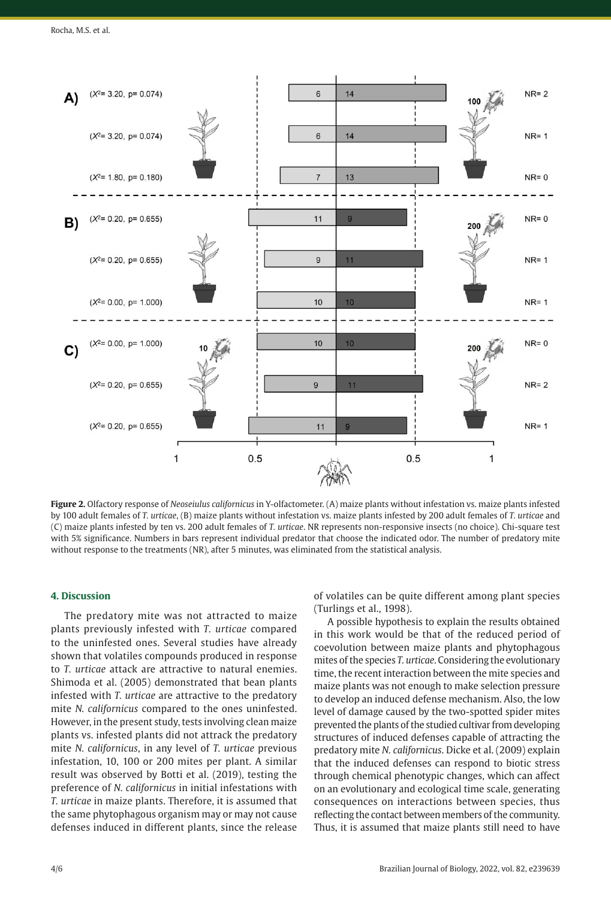

**Figure 2.** Olfactory response of *Neoseiulus californicus* in Y-olfactometer. (A) maize plants without infestation vs. maize plants infested by 100 adult females of *T. urticae*, (B) maize plants without infestation vs. maize plants infested by 200 adult females of *T. urticae* and (C) maize plants infested by ten vs. 200 adult females of *T. urticae*. NR represents non-responsive insects (no choice). Chi-square test with 5% significance. Numbers in bars represent individual predator that choose the indicated odor. The number of predatory mite without response to the treatments (NR), after 5 minutes, was eliminated from the statistical analysis.

## **4. Discussion**

The predatory mite was not attracted to maize plants previously infested with *T. urticae* compared to the uninfested ones. Several studies have already shown that volatiles compounds produced in response to *T. urticae* attack are attractive to natural enemies. Shimoda et al. (2005) demonstrated that bean plants infested with *T. urticae* are attractive to the predatory mite *N. californicus* compared to the ones uninfested. However, in the present study, tests involving clean maize plants vs. infested plants did not attrack the predatory mite *N. californicus*, in any level of *T. urticae* previous infestation, 10, 100 or 200 mites per plant. A similar result was observed by Botti et al. (2019), testing the preference of *N. californicus* in initial infestations with *T. urticae* in maize plants. Therefore, it is assumed that the same phytophagous organism may or may not cause defenses induced in different plants, since the release

of volatiles can be quite different among plant species (Turlings et al., 1998).

A possible hypothesis to explain the results obtained in this work would be that of the reduced period of coevolution between maize plants and phytophagous mites of the species *T. urticae*. Considering the evolutionary time, the recent interaction between the mite species and maize plants was not enough to make selection pressure to develop an induced defense mechanism. Also, the low level of damage caused by the two-spotted spider mites prevented the plants of the studied cultivar from developing structures of induced defenses capable of attracting the predatory mite *N. californicus*. Dicke et al. (2009) explain that the induced defenses can respond to biotic stress through chemical phenotypic changes, which can affect on an evolutionary and ecological time scale, generating consequences on interactions between species, thus reflecting the contact between members of the community. Thus, it is assumed that maize plants still need to have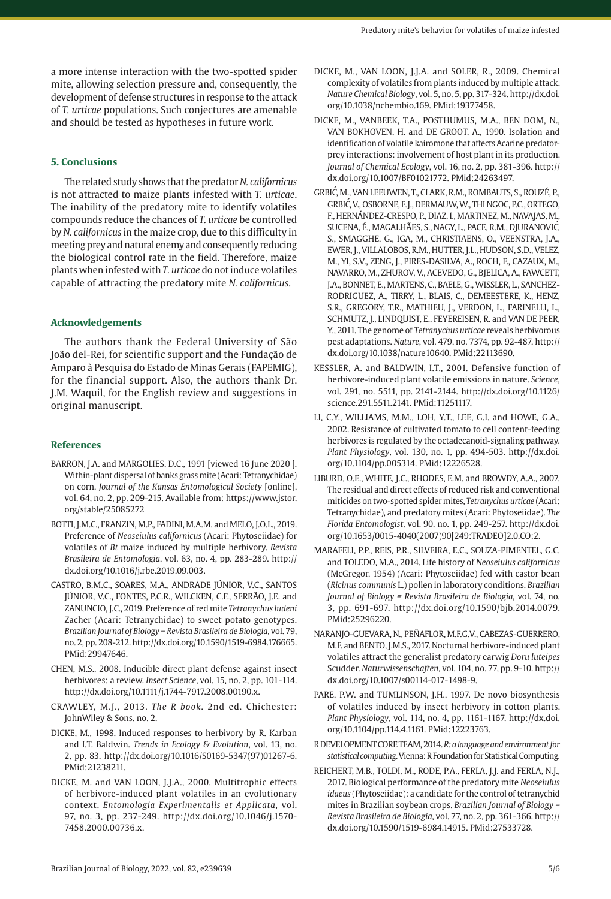a more intense interaction with the two-spotted spider mite, allowing selection pressure and, consequently, the development of defense structures in response to the attack of *T. urticae* populations. Such conjectures are amenable and should be tested as hypotheses in future work.

## **5. Conclusions**

The related study shows that the predator *N. californicus* is not attracted to maize plants infested with *T. urticae*. The inability of the predatory mite to identify volatiles compounds reduce the chances of *T. urticae* be controlled by *N. californicus* in the maize crop, due to this difficulty in meeting prey and natural enemy and consequently reducing the biological control rate in the field. Therefore, maize plants when infested with *T. urticae* do not induce volatiles capable of attracting the predatory mite *N. californicus*.

#### **Acknowledgements**

The authors thank the Federal University of São João del-Rei, for scientific support and the Fundação de Amparo à Pesquisa do Estado de Minas Gerais (FAPEMIG), for the financial support. Also, the authors thank Dr. J.M. Waquil, for the English review and suggestions in original manuscript.

#### **References**

- BARRON, J.A. and MARGOLIES, D.C., 1991 [viewed 16 June 2020]. Within-plant dispersal of banks grass mite (Acari: Tetranychidae) on corn. *Journal of the Kansas Entomological Society* [online], vol. 64, no. 2, pp. 209-215. Available from: https://www.jstor. org/stable/25085272
- BOTTI, J.M.C., FRANZIN, M.P., FADINI, M.A.M. and MELO, J.O.L., 2019. Preference of *Neoseiulus californicus* (Acari: Phytoseiidae) for volatiles of *Bt* maize induced by multiple herbivory. *Revista Brasileira de Entomologia*, vol. 63, no. 4, pp. 283-289. [http://](https://doi.org/10.1016/j.rbe.2019.09.003) [dx.doi.org/10.1016/j.rbe.2019.09.003](https://doi.org/10.1016/j.rbe.2019.09.003).
- CASTRO, B.M.C., SOARES, M.A., ANDRADE JÚNIOR, V.C., SANTOS JÚNIOR, V.C., FONTES, P.C.R., WILCKEN, C.F., SERRÃO, J.E. and ZANUNCIO, J.C., 2019. Preference of red mite *Tetranychus ludeni* Zacher (Acari: Tetranychidae) to sweet potato genotypes. *Brazilian Journal of Biology = Revista Brasileira de Biologia*, vol. 79, no. 2, pp. 208-212. [http://dx.doi.org/10.1590/1519-6984.176665](https://doi.org/10.1590/1519-6984.176665). [PMid:29947646.](https://www.ncbi.nlm.nih.gov/entrez/query.fcgi?cmd=Retrieve&db=PubMed&list_uids=29947646&dopt=Abstract)
- CHEN, M.S., 2008. Inducible direct plant defense against insect herbivores: a review. *Insect Science*, vol. 15, no. 2, pp. 101-114. [http://dx.doi.org/10.1111/j.1744-7917.2008.00190.x.](https://doi.org/10.1111/j.1744-7917.2008.00190.x)
- CRAWLEY, M.J., 2013. *The R book*. 2nd ed. Chichester: JohnWiley & Sons. no. 2.
- DICKE, M., 1998. Induced responses to herbivory by R. Karban and I.T. Baldwin. *Trends in Ecology & Evolution*, vol. 13, no. 2, pp. 83. [http://dx.doi.org/10.1016/S0169-5347\(97\)01267-6](https://doi.org/10.1016/S0169-5347(97)01267-6). [PMid:21238211.](https://www.ncbi.nlm.nih.gov/entrez/query.fcgi?cmd=Retrieve&db=PubMed&list_uids=21238211&dopt=Abstract)
- DICKE, M. and VAN LOON, J.J.A., 2000. Multitrophic effects of herbivore-induced plant volatiles in an evolutionary context. *Entomologia Experimentalis et Applicata*, vol. 97, no. 3, pp. 237-249. [http://dx.doi.org/10.1046/j.1570-](https://doi.org/10.1046/j.1570-7458.2000.00736.x) [7458.2000.00736.x.](https://doi.org/10.1046/j.1570-7458.2000.00736.x)
- DICKE, M., VAN LOON, J.J.A. and SOLER, R., 2009. Chemical complexity of volatiles from plants induced by multiple attack. *Nature Chemical Biology*, vol. 5, no. 5, pp. 317-324. [http://dx.doi.](https://doi.org/10.1038/nchembio.169) [org/10.1038/nchembio.169](https://doi.org/10.1038/nchembio.169)[. PMid:19377458.](https://www.ncbi.nlm.nih.gov/entrez/query.fcgi?cmd=Retrieve&db=PubMed&list_uids=19377458&dopt=Abstract)
- DICKE, M., VANBEEK, T.A., POSTHUMUS, M.A., BEN DOM, N., VAN BOKHOVEN, H. and DE GROOT, A., 1990. Isolation and identification of volatile kairomone that affects Acarine predatorprey interactions: involvement of host plant in its production. *Journal of Chemical Ecology*, vol. 16, no. 2, pp. 381-396. [http://](https://doi.org/10.1007/BF01021772) [dx.doi.org/10.1007/BF01021772](https://doi.org/10.1007/BF01021772)[. PMid:24263497.](https://www.ncbi.nlm.nih.gov/entrez/query.fcgi?cmd=Retrieve&db=PubMed&list_uids=24263497&dopt=Abstract)
- GRBIC´ , M., VAN LEEUWEN, T., CLARK, R.M., ROMBAUTS, S., ROUZÉ, P., GRBIC´ , V., OSBORNE, E.J., DERMAUW, W., THI NGOC, P.C., ORTEGO, F., HERNÁNDEZ-CRESPO, P., DIAZ, I., MARTINEZ, M., NAVAJAS, M., SUCENA, É., MAGALHÃES, S., NAGY, L., PACE, R.M., DJURANOVIĆ, S., SMAGGHE, G., IGA, M., CHRISTIAENS, O., VEENSTRA, J.A., EWER, J., VILLALOBOS, R.M., HUTTER, J.L., HUDSON, S.D., VELEZ, M., YI, S.V., ZENG, J., PIRES-DASILVA, A., ROCH, F., CAZAUX, M., NAVARRO, M., ZHUROV, V., ACEVEDO, G., BJELICA, A., FAWCETT, J.A., BONNET, E., MARTENS, C., BAELE, G., WISSLER, L., SANCHEZ-RODRIGUEZ, A., TIRRY, L., BLAIS, C., DEMEESTERE, K., HENZ, S.R., GREGORY, T.R., MATHIEU, J., VERDON, L., FARINELLI, L., SCHMUTZ, J., LINDQUIST, E., FEYEREISEN, R. and VAN DE PEER, Y., 2011. The genome of *Tetranychus urticae* reveals herbivorous pest adaptations. *Nature*, vol. 479, no. 7374, pp. 92-487. [http://](https://doi.org/10.1038/nature10640) [dx.doi.org/10.1038/nature10640](https://doi.org/10.1038/nature10640). [PMid:22113690.](https://www.ncbi.nlm.nih.gov/entrez/query.fcgi?cmd=Retrieve&db=PubMed&list_uids=22113690&dopt=Abstract)
- KESSLER, A. and BALDWIN, I.T., 2001. Defensive function of herbivore-induced plant volatile emissions in nature. *Science*, vol. 291, no. 5511, pp. 2141-2144. [http://dx.doi.org/10.1126/](https://doi.org/10.1126/science.291.5511.2141) [science.291.5511.2141.](https://doi.org/10.1126/science.291.5511.2141) [PMid:11251117.](https://www.ncbi.nlm.nih.gov/entrez/query.fcgi?cmd=Retrieve&db=PubMed&list_uids=11251117&dopt=Abstract)
- LI, C.Y., WILLIAMS, M.M., LOH, Y.T., LEE, G.I. and HOWE, G.A., 2002. Resistance of cultivated tomato to cell content-feeding herbivores is regulated by the octadecanoid-signaling pathway. *Plant Physiology*, vol. 130, no. 1, pp. 494-503. [http://dx.doi.](https://doi.org/10.1104/pp.005314) [org/10.1104/pp.005314.](https://doi.org/10.1104/pp.005314) [PMid:12226528.](https://www.ncbi.nlm.nih.gov/entrez/query.fcgi?cmd=Retrieve&db=PubMed&list_uids=12226528&dopt=Abstract)
- LIBURD, O.E., WHITE, J.C., RHODES, E.M. and BROWDY, A.A., 2007. The residual and direct effects of reduced risk and conventional miticides on two-spotted spider mites, *Tetranychus urticae* (Acari: Tetranychidae), and predatory mites (Acari: Phytoseiidae). *The Florida Entomologist*, vol. 90, no. 1, pp. 249-257. [http://dx.doi.](https://doi.org/10.1653/0015-4040(2007)90%5b249:TRADEO%5d2.0.CO;2) [org/10.1653/0015-4040\(2007\)90\[249:TRADEO\]2.0.CO;2.](https://doi.org/10.1653/0015-4040(2007)90%5b249:TRADEO%5d2.0.CO;2)
- MARAFELI, P.P., REIS, P.R., SILVEIRA, E.C., SOUZA-PIMENTEL, G.C. and TOLEDO, M.A., 2014. Life history of *Neoseiulus californicus* (McGregor, 1954) (Acari: Phytoseiidae) fed with castor bean (*Ricinus communis* L.) pollen in laboratory conditions. *Brazilian Journal of Biology = Revista Brasileira de Biologia*, vol. 74, no. 3, pp. 691-697. [http://dx.doi.org/10.1590/bjb.2014.0079](https://doi.org/10.1590/bjb.2014.0079). [PMid:25296220.](https://www.ncbi.nlm.nih.gov/entrez/query.fcgi?cmd=Retrieve&db=PubMed&list_uids=25296220&dopt=Abstract)
- NARANJO-GUEVARA, N., PEÑAFLOR, M.F.G.V., CABEZAS-GUERRERO, M.F. and BENTO, J.M.S., 2017. Nocturnal herbivore-induced plant volatiles attract the generalist predatory earwig *Doru luteipes* Scudder. *Naturwissenschaften*, vol. 104, no. 77, pp. 9-10. [http://](https://doi.org/10.1007/s00114-017-1498-9) [dx.doi.org/10.1007/s00114-017-1498-9](https://doi.org/10.1007/s00114-017-1498-9).
- PARE, P.W. and TUMLINSON, J.H., 1997. De novo biosynthesis of volatiles induced by insect herbivory in cotton plants. *Plant Physiology*, vol. 114, no. 4, pp. 1161-1167. [http://dx.doi.](https://doi.org/10.1104/pp.114.4.1161) [org/10.1104/pp.114.4.1161](https://doi.org/10.1104/pp.114.4.1161). [PMid:12223763.](https://www.ncbi.nlm.nih.gov/entrez/query.fcgi?cmd=Retrieve&db=PubMed&list_uids=12223763&dopt=Abstract)
- R DEVELOPMENT CORE TEAM, 2014. *R: a language and environment for statistical computing*. Vienna: R Foundation for Statistical Computing.
- REICHERT, M.B., TOLDI, M., RODE, P.A., FERLA, J.J. and FERLA, N.J., 2017. Biological performance of the predatory mite *Neoseiulus idaeus* (Phytoseiidae): a candidate for the control of tetranychid mites in Brazilian soybean crops. *Brazilian Journal of Biology = Revista Brasileira de Biologia*, vol. 77, no. 2, pp. 361-366. [http://](https://doi.org/10.1590/1519-6984.14915) [dx.doi.org/10.1590/1519-6984.14915](https://doi.org/10.1590/1519-6984.14915). [PMid:27533728.](https://www.ncbi.nlm.nih.gov/entrez/query.fcgi?cmd=Retrieve&db=PubMed&list_uids=27533728&dopt=Abstract)